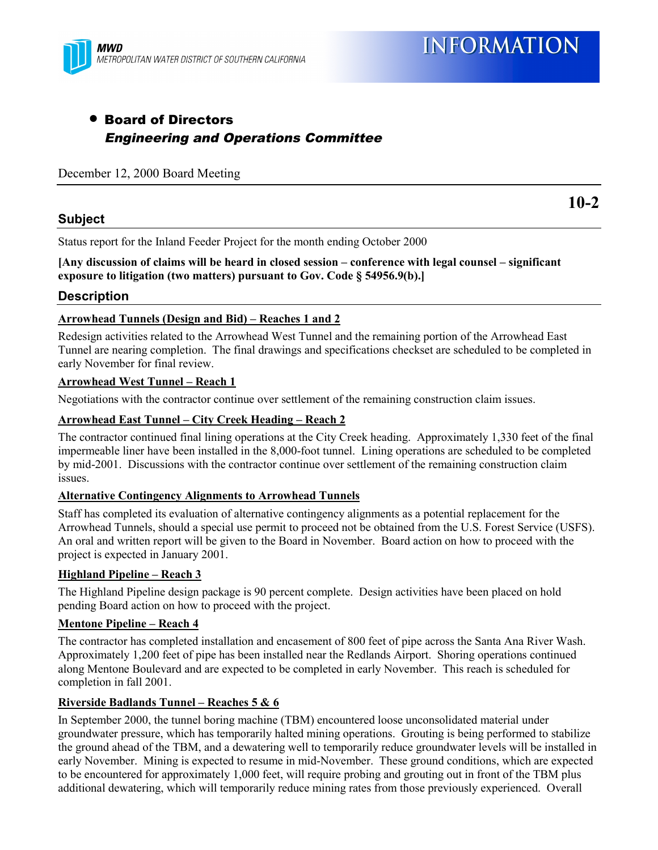## • Board of Directors Engineering and Operations Committee

#### December 12, 2000 Board Meeting

#### **Subject**

Status report for the Inland Feeder Project for the month ending October 2000

#### **[Any discussion of claims will be heard in closed session – conference with legal counsel – significant exposure to litigation (two matters) pursuant to Gov. Code § 54956.9(b).]**

#### **Description**

#### **Arrowhead Tunnels (Design and Bid) – Reaches 1 and 2**

Redesign activities related to the Arrowhead West Tunnel and the remaining portion of the Arrowhead East Tunnel are nearing completion. The final drawings and specifications checkset are scheduled to be completed in early November for final review.

#### **Arrowhead West Tunnel – Reach 1**

Negotiations with the contractor continue over settlement of the remaining construction claim issues.

#### **Arrowhead East Tunnel – City Creek Heading – Reach 2**

The contractor continued final lining operations at the City Creek heading. Approximately 1,330 feet of the final impermeable liner have been installed in the 8,000-foot tunnel. Lining operations are scheduled to be completed by mid-2001. Discussions with the contractor continue over settlement of the remaining construction claim issues.

#### **Alternative Contingency Alignments to Arrowhead Tunnels**

Staff has completed its evaluation of alternative contingency alignments as a potential replacement for the Arrowhead Tunnels, should a special use permit to proceed not be obtained from the U.S. Forest Service (USFS). An oral and written report will be given to the Board in November. Board action on how to proceed with the project is expected in January 2001.

#### **Highland Pipeline – Reach 3**

The Highland Pipeline design package is 90 percent complete. Design activities have been placed on hold pending Board action on how to proceed with the project.

#### **Mentone Pipeline – Reach 4**

The contractor has completed installation and encasement of 800 feet of pipe across the Santa Ana River Wash. Approximately 1,200 feet of pipe has been installed near the Redlands Airport. Shoring operations continued along Mentone Boulevard and are expected to be completed in early November. This reach is scheduled for completion in fall 2001.

#### **Riverside Badlands Tunnel – Reaches 5 & 6**

In September 2000, the tunnel boring machine (TBM) encountered loose unconsolidated material under groundwater pressure, which has temporarily halted mining operations. Grouting is being performed to stabilize the ground ahead of the TBM, and a dewatering well to temporarily reduce groundwater levels will be installed in early November. Mining is expected to resume in mid-November. These ground conditions, which are expected to be encountered for approximately 1,000 feet, will require probing and grouting out in front of the TBM plus additional dewatering, which will temporarily reduce mining rates from those previously experienced. Overall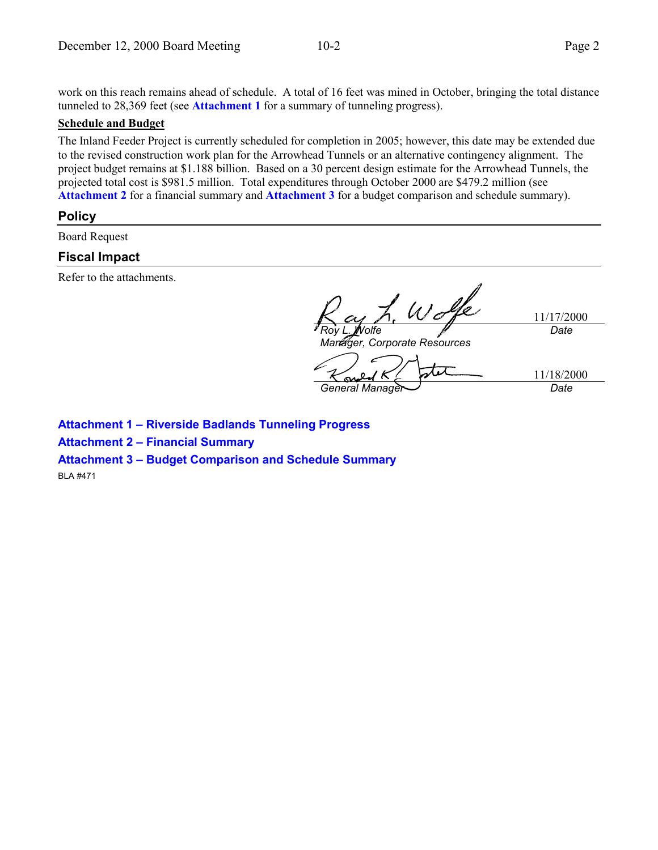work on this reach remains ahead of schedule. A total of 16 feet was mined in October, bringing the total distance tunneled to 28,369 feet (see **Attachment 1** for a summary of tunneling progress).

#### **Schedule and Budget**

The Inland Feeder Project is currently scheduled for completion in 2005; however, this date may be extended due to the revised construction work plan for the Arrowhead Tunnels or an alternative contingency alignment. The project budget remains at \$1.188 billion. Based on a 30 percent design estimate for the Arrowhead Tunnels, the projected total cost is \$981.5 million. Total expenditures through October 2000 are \$479.2 million (see **Attachment 2** for a financial summary and **Attachment 3** for a budget comparison and schedule summary).

#### **Policy**

Board Request

#### **Fiscal Impact**

Refer to the attachments.

 $W\sigma$ 11/17/2000 *Roy L. Wolfe Date Manager, Corporate Resources*  $\tau$ 11/18/2000 *General Manager Date*

**Attachment 1 – Riverside Badlands Tunneling Progress**

**Attachment 2 – Financial Summary**

**Attachment 3 – Budget Comparison and Schedule Summary**

BLA #471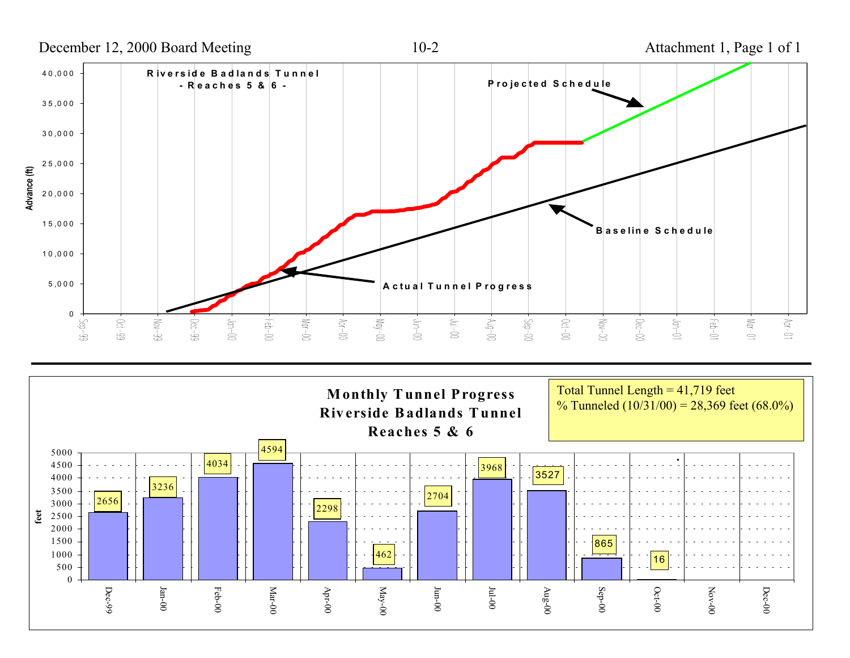December 12, 2000 Board Meeting 10-2 Attachment 1, Page 1 of 1 40,000 **R iversid e B ad lan d s T u n n elP ro jected S ch ed <sup>u</sup> le - Reaches 5 & 6 -** 35,000 30,000 25,000 Advance (ft) 20,000 15,000 **B aselin e S ch ed u le**10,000 5,000 **A ctu al T <sup>u</sup> <sup>n</sup> <sup>n</sup> el P ro g ress** 0 $00$ - $\sqrt{10}$  $-5e^{-g}$  $0c t - 99$  $Mov-99$  $-0$ ec $-99$  $-64 - 00$  $Mg - 100$  $00-10<sup>k</sup>$  $00-$ unr  $00 - M$  $-60$  $-2$ ep $-00$  $00 - 100 M_{\text{OV}} - 00$  $-$ Dec $-$ 00  $-66 - 01$  $M$ or-01  $10 - 40$  $-00-100$  $10 - mL$ 

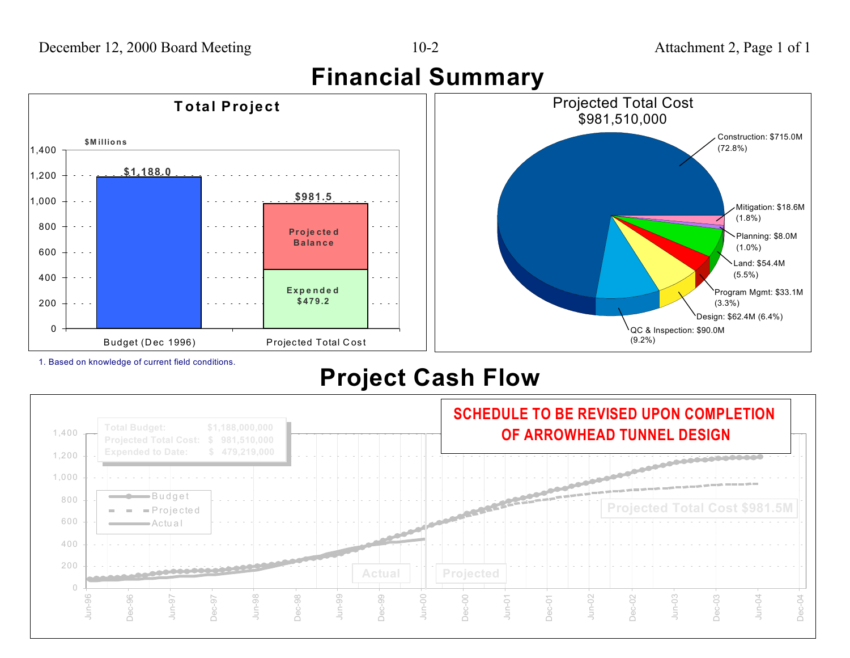**Financial Summary**



1. Based on knowledge of current field conditions.

# **Project Cash Flow**